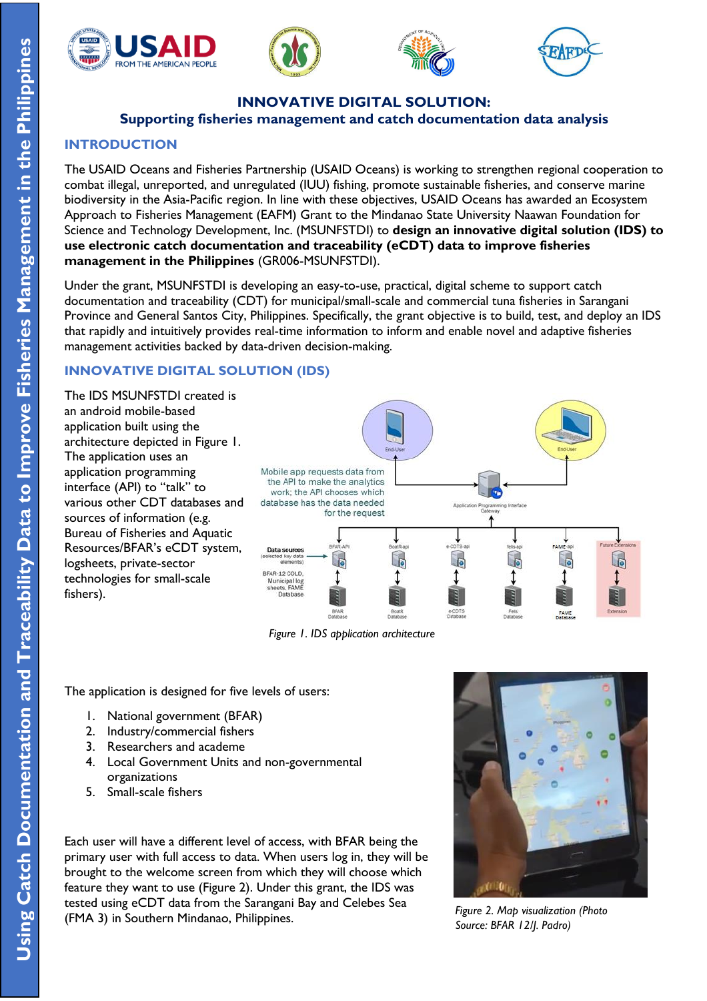







# **INNOVATIVE DIGITAL SOLUTION:**

**Supporting fisheries management and catch documentation data analysis**

## **INTRODUCTION**

The USAID Oceans and Fisheries Partnership (USAID Oceans) is working to strengthen regional cooperation to combat illegal, unreported, and unregulated (IUU) fishing, promote sustainable fisheries, and conserve marine biodiversity in the Asia-Pacific region. In line with these objectives, USAID Oceans has awarded an Ecosystem Approach to Fisheries Management (EAFM) Grant to the Mindanao State University Naawan Foundation for Science and Technology Development, Inc. (MSUNFSTDI) to **design an innovative digital solution (IDS) to use electronic catch documentation and traceability (eCDT) data to improve fisheries management in the Philippines** (GR006-MSUNFSTDI).

Under the grant, MSUNFSTDI is developing an easy-to-use, practical, digital scheme to support catch documentation and traceability (CDT) for municipal/small-scale and commercial tuna fisheries in Sarangani Province and General Santos City, Philippines. Specifically, the grant objective is to build, test, and deploy an IDS that rapidly and intuitively provides real-time information to inform and enable novel and adaptive fisheries management activities backed by data-driven decision-making.

# **INNOVATIVE DIGITAL SOLUTION (IDS)**

The IDS MSUNFSTDI created is an android mobile-based application built using the architecture depicted in Figure 1. The application uses an application programming interface (API) to "talk" to various other CDT databases and sources of information (e.g. Bureau of Fisheries and Aquatic Resources/BFAR's eCDT system, logsheets, private-sector technologies for small-scale fishers).



*Figure 1. IDS application architecture*

The application is designed for five levels of users:

- 1. National government (BFAR)
- 2. Industry/commercial fishers
- 3. Researchers and academe
- 4. Local Government Units and non-governmental organizations
- 5. Small-scale fishers

Each user will have a different level of access, with BFAR being the primary user with full access to data. When users log in, they will be brought to the welcome screen from which they will choose which feature they want to use (Figure 2). Under this grant, the IDS was tested using eCDT data from the Sarangani Bay and Celebes Sea (FMA 3) in Southern Mindanao, Philippines.



*Figure 2. Map visualization (Photo Source: BFAR 12/J. Padro)*